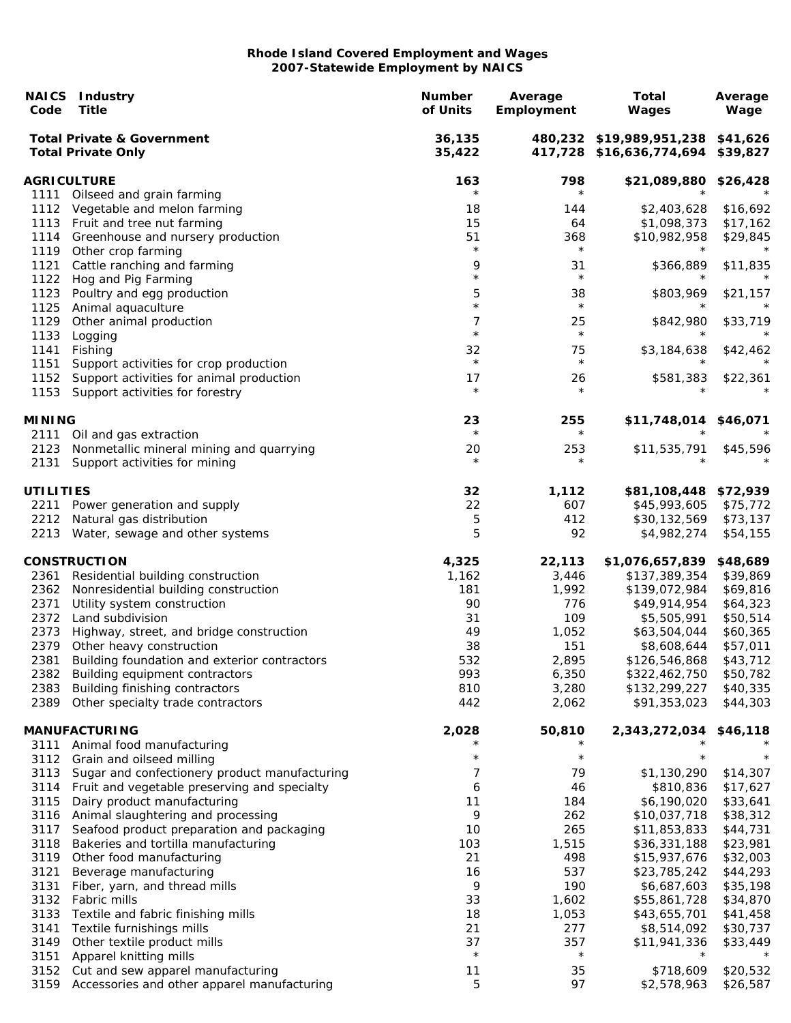| Code             | <b>NAICS</b> Industry<br><b>Title</b>                                            | <b>Number</b><br>of Units | Average<br>Employment | <b>Total</b><br><b>Wages</b>                                           | Average<br>Wage      |
|------------------|----------------------------------------------------------------------------------|---------------------------|-----------------------|------------------------------------------------------------------------|----------------------|
|                  | <b>Total Private &amp; Government</b><br><b>Total Private Only</b>               | 36,135<br>35,422          |                       | 480,232 \$19,989,951,238 \$41,626<br>417,728 \$16,636,774,694 \$39,827 |                      |
|                  | <b>AGRICULTURE</b>                                                               | 163                       | 798                   | \$21,089,880 \$26,428                                                  |                      |
| 1111             | Oilseed and grain farming                                                        | $^\star$                  | $\star$               |                                                                        |                      |
|                  | 1112 Vegetable and melon farming                                                 | 18                        | 144                   | \$2,403,628                                                            | \$16,692             |
|                  | 1113 Fruit and tree nut farming                                                  | 15                        | 64                    | \$1,098,373                                                            | \$17,162             |
| 1114             | Greenhouse and nursery production<br>1119 Other crop farming                     | 51<br>$\star$             | 368<br>$\star$        | \$10,982,958                                                           | \$29,845<br>$\star$  |
| 1121             | Cattle ranching and farming                                                      | 9                         | 31                    | \$366,889                                                              | \$11,835             |
| 1122             | Hog and Pig Farming                                                              | $\star$                   | $\star$               |                                                                        | $^\star$             |
| 1123             | Poultry and egg production                                                       | 5                         | 38                    | \$803,969                                                              | \$21,157             |
| 1125             | Animal aquaculture                                                               | $\star$                   | $\star$               | $\star$                                                                | $\star$              |
| 1129             | Other animal production                                                          | 7                         | 25                    | \$842,980                                                              | \$33,719             |
| 1133             | Logging                                                                          | $\star$                   | $\star$               |                                                                        | $^\star$             |
| 1141             | Fishing                                                                          | 32                        | 75                    | \$3,184,638                                                            | \$42,462             |
| 1151             | Support activities for crop production                                           | $\star$                   | $\star$               |                                                                        |                      |
| 1152             | Support activities for animal production                                         | 17                        | 26                    | \$581,383                                                              | \$22,361             |
| 1153             | Support activities for forestry                                                  | $\star$                   | $\star$               |                                                                        |                      |
| <b>MINING</b>    |                                                                                  | 23<br>$\star$             | 255<br>$\star$        | \$11,748,014                                                           | \$46,071             |
| 2111<br>2123     | Oil and gas extraction<br>Nonmetallic mineral mining and quarrying               |                           |                       |                                                                        |                      |
| 2131             | Support activities for mining                                                    | 20<br>$\star$             | 253<br>$\star$        | \$11,535,791<br>$\star$                                                | \$45,596             |
| <b>UTILITIES</b> |                                                                                  | 32                        | 1,112                 | \$81,108,448 \$72,939                                                  |                      |
|                  | 2211 Power generation and supply                                                 | 22                        | 607                   | \$45,993,605                                                           | \$75,772             |
|                  | 2212 Natural gas distribution                                                    | 5                         | 412                   | \$30,132,569                                                           | \$73,137             |
|                  | 2213 Water, sewage and other systems                                             | 5                         | 92                    | \$4,982,274                                                            | \$54,155             |
|                  | <b>CONSTRUCTION</b>                                                              | 4,325                     | 22,113                | \$1,076,657,839                                                        | \$48,689             |
| 2361             | Residential building construction                                                | 1,162                     | 3,446                 | \$137,389,354                                                          | \$39,869             |
| 2362             | Nonresidential building construction                                             | 181                       | 1,992                 | \$139,072,984                                                          | \$69,816             |
| 2371             | Utility system construction                                                      | 90                        | 776                   | \$49,914,954                                                           | \$64,323             |
| 2372             | Land subdivision                                                                 | 31                        | 109                   | \$5,505,991                                                            | \$50,514             |
| 2373             | Highway, street, and bridge construction                                         | 49                        | 1,052                 | \$63,504,044                                                           | \$60,365             |
| 2379<br>2381     | Other heavy construction<br>Building foundation and exterior contractors         | 38<br>532                 | 151                   | \$8,608,644                                                            | \$57,011             |
| 2382             | Building equipment contractors                                                   | 993                       | 2,895<br>6,350        | \$126,546,868<br>\$322,462,750                                         | \$43,712<br>\$50,782 |
| 2383             | Building finishing contractors                                                   | 810                       | 3,280                 | \$132,299,227                                                          | \$40,335             |
| 2389             | Other specialty trade contractors                                                | 442                       | 2,062                 | \$91,353,023                                                           | \$44,303             |
|                  | <b>MANUFACTURING</b>                                                             | 2,028                     | 50,810                | 2,343,272,034                                                          | \$46,118             |
| 3111             | Animal food manufacturing                                                        |                           |                       |                                                                        |                      |
| 3112             | Grain and oilseed milling                                                        | $\star$                   | $\star$               | $^{\star}$                                                             | $\star$              |
| 3113             | Sugar and confectionery product manufacturing                                    | 7                         | 79                    | \$1,130,290                                                            | \$14,307             |
| 3114             | Fruit and vegetable preserving and specialty                                     | 6                         | 46                    | \$810,836                                                              | \$17,627             |
| 3115             | Dairy product manufacturing                                                      | 11                        | 184                   | \$6,190,020                                                            | \$33,641             |
| 3116             | Animal slaughtering and processing                                               | 9                         | 262                   | \$10,037,718                                                           | \$38,312             |
| 3117<br>3118     | Seafood product preparation and packaging<br>Bakeries and tortilla manufacturing | 10<br>103                 | 265<br>1,515          | \$11,853,833<br>\$36,331,188                                           | \$44,731<br>\$23,981 |
| 3119             | Other food manufacturing                                                         | 21                        | 498                   | \$15,937,676                                                           | \$32,003             |
| 3121             | Beverage manufacturing                                                           | 16                        | 537                   | \$23,785,242                                                           | \$44,293             |
| 3131             | Fiber, yarn, and thread mills                                                    | 9                         | 190                   | \$6,687,603                                                            | \$35,198             |
| 3132             | Fabric mills                                                                     | 33                        | 1,602                 | \$55,861,728                                                           | \$34,870             |
| 3133             | Textile and fabric finishing mills                                               | 18                        | 1,053                 | \$43,655,701                                                           | \$41,458             |
| 3141             | Textile furnishings mills                                                        | 21                        | 277                   | \$8,514,092                                                            | \$30,737             |
| 3149             | Other textile product mills                                                      | 37                        | 357                   | \$11,941,336                                                           | \$33,449             |
| 3151             | Apparel knitting mills                                                           | $\star$                   | $\star$               |                                                                        |                      |
| 3152             | Cut and sew apparel manufacturing                                                | 11                        | 35                    | \$718,609                                                              | \$20,532             |
| 3159             | Accessories and other apparel manufacturing                                      | 5                         | 97                    | \$2,578,963                                                            | \$26,587             |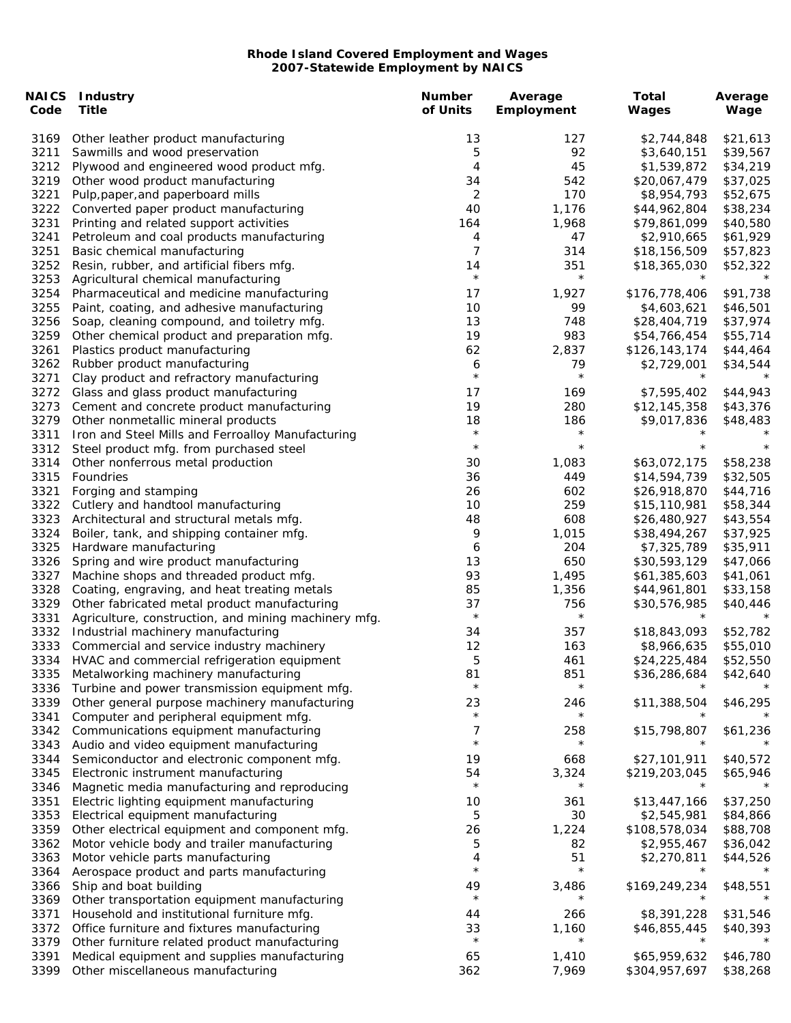| Code         | <b>NAICS Industry</b><br><b>Title</b>                                     | <b>Number</b><br>of Units | Average<br>Employment | <b>Total</b><br>Wages        | Average<br>Wage      |
|--------------|---------------------------------------------------------------------------|---------------------------|-----------------------|------------------------------|----------------------|
| 3169         | Other leather product manufacturing                                       | 13                        | 127                   | \$2,744,848                  | \$21,613             |
| 3211         | Sawmills and wood preservation                                            | 5                         | 92                    | \$3,640,151                  | \$39,567             |
| 3212         | Plywood and engineered wood product mfg.                                  | 4                         | 45                    | \$1,539,872                  | \$34,219             |
| 3219         | Other wood product manufacturing                                          | 34                        | 542                   | \$20,067,479                 | \$37,025             |
| 3221         | Pulp, paper, and paperboard mills                                         | 2                         | 170                   | \$8,954,793                  | \$52,675             |
| 3222         | Converted paper product manufacturing                                     | 40                        | 1,176                 | \$44,962,804                 | \$38,234             |
| 3231         | Printing and related support activities                                   | 164                       | 1,968                 | \$79,861,099                 | \$40,580             |
| 3241         | Petroleum and coal products manufacturing                                 | 4                         | 47                    | \$2,910,665                  | \$61,929             |
| 3251         | Basic chemical manufacturing                                              | 7                         | 314                   | \$18,156,509                 | \$57,823             |
| 3252         | Resin, rubber, and artificial fibers mfg.                                 | 14                        | 351<br>$\star$        | \$18,365,030<br>$\star$      | \$52,322             |
| 3253         | Agricultural chemical manufacturing                                       | $\star$                   |                       |                              |                      |
| 3254         | Pharmaceutical and medicine manufacturing                                 | 17                        | 1,927                 | \$176,778,406                | \$91,738             |
| 3255         | Paint, coating, and adhesive manufacturing                                | 10                        | 99                    | \$4,603,621                  | \$46,501             |
| 3256         | Soap, cleaning compound, and toiletry mfg.                                | 13                        | 748                   | \$28,404,719                 | \$37,974             |
| 3259         | Other chemical product and preparation mfg.                               | 19                        | 983                   | \$54,766,454                 | \$55,714             |
| 3261<br>3262 | Plastics product manufacturing                                            | 62<br>6                   | 2,837<br>79           | \$126,143,174<br>\$2,729,001 | \$44,464<br>\$34,544 |
| 3271         | Rubber product manufacturing<br>Clay product and refractory manufacturing | $\star$                   | $\star$               | $\star$                      |                      |
| 3272         | Glass and glass product manufacturing                                     | 17                        | 169                   | \$7,595,402                  | \$44,943             |
| 3273         | Cement and concrete product manufacturing                                 | 19                        | 280                   | \$12,145,358                 | \$43,376             |
| 3279         | Other nonmetallic mineral products                                        | 18                        | 186                   | \$9,017,836                  | \$48,483             |
| 3311         | Iron and Steel Mills and Ferroalloy Manufacturing                         | $\star$                   | $\star$               |                              |                      |
| 3312         | Steel product mfg. from purchased steel                                   | $\star$                   | $\star$               | $\star$                      |                      |
| 3314         | Other nonferrous metal production                                         | 30                        | 1,083                 | \$63,072,175                 | \$58,238             |
| 3315         | Foundries                                                                 | 36                        | 449                   | \$14,594,739                 | \$32,505             |
| 3321         | Forging and stamping                                                      | 26                        | 602                   | \$26,918,870                 | \$44,716             |
| 3322         | Cutlery and handtool manufacturing                                        | 10                        | 259                   | \$15,110,981                 | \$58,344             |
| 3323         | Architectural and structural metals mfg.                                  | 48                        | 608                   | \$26,480,927                 | \$43,554             |
| 3324         | Boiler, tank, and shipping container mfg.                                 | 9                         | 1,015                 | \$38,494,267                 | \$37,925             |
| 3325         | Hardware manufacturing                                                    | 6                         | 204                   | \$7,325,789                  | \$35,911             |
| 3326         | Spring and wire product manufacturing                                     | 13                        | 650                   | \$30,593,129                 | \$47,066             |
| 3327         | Machine shops and threaded product mfg.                                   | 93                        | 1,495                 | \$61,385,603                 | \$41,061             |
| 3328         | Coating, engraving, and heat treating metals                              | 85                        | 1,356                 | \$44,961,801                 | \$33,158             |
| 3329         | Other fabricated metal product manufacturing                              | 37                        | 756                   | \$30,576,985                 | \$40,446             |
| 3331         | Agriculture, construction, and mining machinery mfg.                      | $\star$                   | $\star$               | $\star$                      |                      |
| 3332         | Industrial machinery manufacturing                                        | 34                        | 357                   | \$18,843,093                 | \$52,782             |
| 3333         | Commercial and service industry machinery                                 | 12                        | 163                   | \$8,966,635                  | \$55,010             |
| 3334         | HVAC and commercial refrigeration equipment                               | 5                         | 461                   | \$24,225,484                 | \$52,550             |
| 3335         | Metalworking machinery manufacturing                                      | 81                        | 851                   | \$36,286,684                 | \$42,640             |
| 3336         | Turbine and power transmission equipment mfg.                             | $\star$                   | $\star$               |                              |                      |
| 3339         | Other general purpose machinery manufacturing                             | 23                        | 246                   | \$11,388,504                 | \$46,295             |
| 3341         | Computer and peripheral equipment mfg.                                    | $\star$                   | $\star$               |                              |                      |
| 3342         | Communications equipment manufacturing                                    | 7                         | 258                   | \$15,798,807                 | \$61,236             |
| 3343         | Audio and video equipment manufacturing                                   | $\star$                   | $\star$               |                              |                      |
| 3344         | Semiconductor and electronic component mfg.                               | 19                        | 668                   | \$27,101,911                 | \$40,572             |
| 3345         | Electronic instrument manufacturing                                       | 54                        | 3,324<br>$\star$      | \$219,203,045                | \$65,946             |
| 3346         | Magnetic media manufacturing and reproducing                              | $\star$                   |                       |                              |                      |
| 3351         | Electric lighting equipment manufacturing                                 | 10                        | 361                   | \$13,447,166                 | \$37,250             |
| 3353         | Electrical equipment manufacturing                                        | 5                         | 30                    | \$2,545,981                  | \$84,866             |
| 3359         | Other electrical equipment and component mfg.                             | 26                        | 1,224                 | \$108,578,034                | \$88,708             |
| 3362         | Motor vehicle body and trailer manufacturing                              | 5                         | 82                    | \$2,955,467                  | \$36,042             |
| 3363         | Motor vehicle parts manufacturing                                         | 4<br>$\star$              | 51<br>$\star$         | \$2,270,811<br>$\star$       | \$44,526<br>$^\star$ |
| 3364         | Aerospace product and parts manufacturing                                 |                           |                       | \$169,249,234                | \$48,551             |
| 3366<br>3369 | Ship and boat building<br>Other transportation equipment manufacturing    | 49<br>$\star$             | 3,486                 |                              |                      |
| 3371         | Household and institutional furniture mfg.                                | 44                        | 266                   | \$8,391,228                  | \$31,546             |
| 3372         | Office furniture and fixtures manufacturing                               | 33                        | 1,160                 | \$46,855,445                 | \$40,393             |
| 3379         | Other furniture related product manufacturing                             | $\star$                   | $\star$               | $\star$                      |                      |
| 3391         | Medical equipment and supplies manufacturing                              | 65                        | 1,410                 | \$65,959,632                 | \$46,780             |
| 3399         | Other miscellaneous manufacturing                                         | 362                       | 7,969                 | \$304,957,697                | \$38,268             |
|              |                                                                           |                           |                       |                              |                      |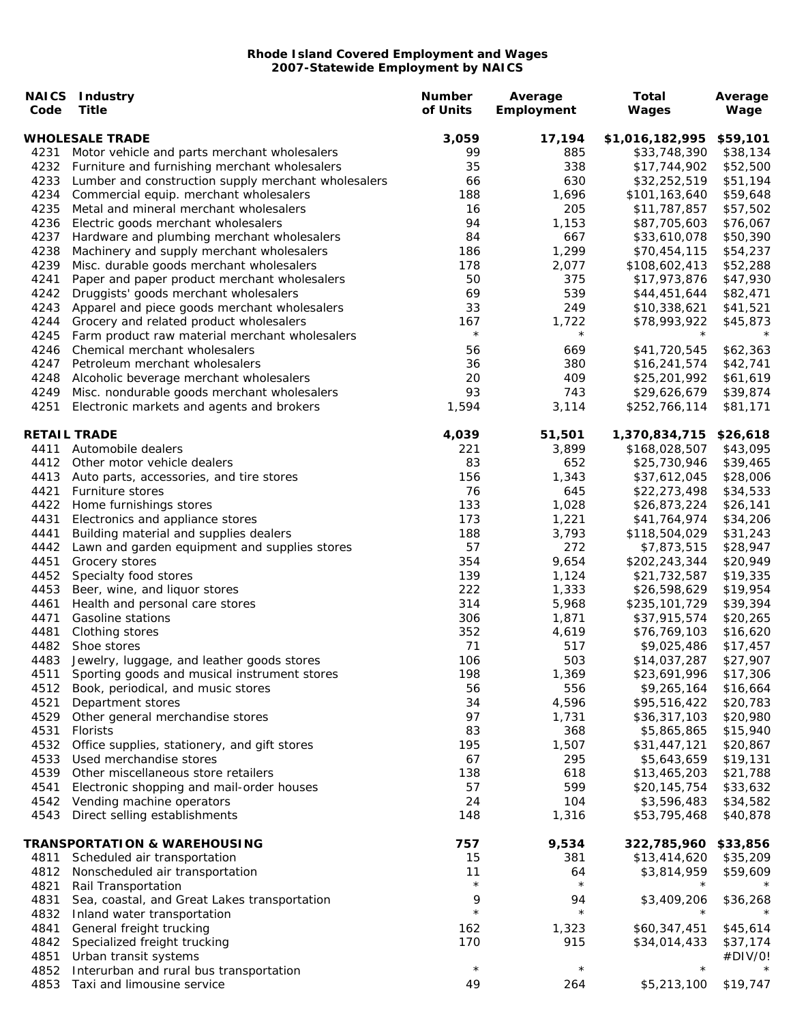| Code | <b>NAICS Industry</b><br><b>Title</b>               | <b>Number</b><br>of Units | Average<br>Employment | Total<br>Wages  | Average<br>Wage |
|------|-----------------------------------------------------|---------------------------|-----------------------|-----------------|-----------------|
|      | <b>WHOLESALE TRADE</b>                              | 3,059                     | 17,194                | \$1,016,182,995 | \$59,101        |
| 4231 | Motor vehicle and parts merchant wholesalers        | 99                        | 885                   | \$33,748,390    | \$38,134        |
| 4232 | Furniture and furnishing merchant wholesalers       | 35                        | 338                   | \$17,744,902    | \$52,500        |
| 4233 | Lumber and construction supply merchant wholesalers | 66                        | 630                   | \$32,252,519    | \$51,194        |
| 4234 | Commercial equip. merchant wholesalers              | 188                       | 1,696                 | \$101,163,640   | \$59,648        |
| 4235 | Metal and mineral merchant wholesalers              | 16                        | 205                   | \$11,787,857    | \$57,502        |
| 4236 | Electric goods merchant wholesalers                 | 94                        | 1,153                 | \$87,705,603    | \$76,067        |
| 4237 | Hardware and plumbing merchant wholesalers          | 84                        | 667                   | \$33,610,078    | \$50,390        |
| 4238 | Machinery and supply merchant wholesalers           | 186                       | 1,299                 | \$70,454,115    | \$54,237        |
| 4239 | Misc. durable goods merchant wholesalers            | 178                       | 2,077                 | \$108,602,413   | \$52,288        |
| 4241 | Paper and paper product merchant wholesalers        | 50                        | 375                   | \$17,973,876    | \$47,930        |
| 4242 | Druggists' goods merchant wholesalers               | 69                        | 539                   | \$44,451,644    | \$82,471        |
| 4243 | Apparel and piece goods merchant wholesalers        | 33                        | 249                   | \$10,338,621    | \$41,521        |
| 4244 | Grocery and related product wholesalers             | 167                       | 1,722                 | \$78,993,922    | \$45,873        |
| 4245 | Farm product raw material merchant wholesalers      | $\star$                   | $\star$               | $\star$         | $\star$         |
| 4246 | Chemical merchant wholesalers                       | 56                        | 669                   | \$41,720,545    | \$62,363        |
| 4247 | Petroleum merchant wholesalers                      | 36                        | 380                   | \$16,241,574    | \$42,741        |
| 4248 | Alcoholic beverage merchant wholesalers             | 20                        | 409                   | \$25,201,992    | \$61,619        |
| 4249 | Misc. nondurable goods merchant wholesalers         | 93                        | 743                   | \$29,626,679    | \$39,874        |
| 4251 | Electronic markets and agents and brokers           | 1,594                     | 3,114                 | \$252,766,114   | \$81,171        |
|      | <b>RETAIL TRADE</b>                                 | 4,039                     | 51,501                | 1,370,834,715   | \$26,618        |
| 4411 | Automobile dealers                                  | 221                       | 3,899                 | \$168,028,507   | \$43,095        |
| 4412 | Other motor vehicle dealers                         | 83                        | 652                   | \$25,730,946    | \$39,465        |
| 4413 | Auto parts, accessories, and tire stores            | 156                       | 1,343                 | \$37,612,045    | \$28,006        |
| 4421 | Furniture stores                                    | 76                        | 645                   | \$22,273,498    | \$34,533        |
| 4422 | Home furnishings stores                             | 133                       | 1,028                 | \$26,873,224    | \$26,141        |
| 4431 | Electronics and appliance stores                    | 173                       | 1,221                 | \$41,764,974    | \$34,206        |
| 4441 | Building material and supplies dealers              | 188                       | 3,793                 | \$118,504,029   | \$31,243        |
| 4442 | Lawn and garden equipment and supplies stores       | 57                        | 272                   | \$7,873,515     | \$28,947        |
| 4451 | Grocery stores                                      | 354                       | 9,654                 | \$202,243,344   | \$20,949        |
| 4452 | Specialty food stores                               | 139                       | 1,124                 | \$21,732,587    | \$19,335        |
| 4453 | Beer, wine, and liquor stores                       | 222                       | 1,333                 | \$26,598,629    | \$19,954        |
| 4461 | Health and personal care stores                     | 314                       | 5,968                 | \$235,101,729   | \$39,394        |
| 4471 | Gasoline stations                                   | 306                       | 1,871                 | \$37,915,574    | \$20,265        |
| 4481 | Clothing stores                                     | 352                       | 4,619                 | \$76,769,103    | \$16,620        |
| 4482 | Shoe stores                                         | 71                        | 517                   | \$9,025,486     | \$17,457        |
| 4483 | Jewelry, luggage, and leather goods stores          | 106                       | 503                   | \$14,037,287    | \$27,907        |
| 4511 | Sporting goods and musical instrument stores        | 198                       | 1,369                 | \$23,691,996    | \$17,306        |
| 4512 | Book, periodical, and music stores                  | 56                        | 556                   | \$9,265,164     | \$16,664        |
| 4521 | Department stores                                   | 34                        | 4,596                 | \$95,516,422    | \$20,783        |
| 4529 | Other general merchandise stores                    | 97                        | 1,731                 | \$36,317,103    | \$20,980        |
| 4531 | <b>Florists</b>                                     | 83                        | 368                   | \$5,865,865     | \$15,940        |
| 4532 | Office supplies, stationery, and gift stores        | 195                       | 1,507                 | \$31,447,121    | \$20,867        |
| 4533 | Used merchandise stores                             | 67                        | 295                   | \$5,643,659     | \$19,131        |
| 4539 | Other miscellaneous store retailers                 | 138                       | 618                   | \$13,465,203    | \$21,788        |
| 4541 | Electronic shopping and mail-order houses           | 57                        | 599                   | \$20,145,754    | \$33,632        |
| 4542 | Vending machine operators                           | 24                        | 104                   | \$3,596,483     | \$34,582        |
| 4543 | Direct selling establishments                       | 148                       | 1,316                 | \$53,795,468    | \$40,878        |
|      | <b>TRANSPORTATION &amp; WAREHOUSING</b>             | 757                       | 9,534                 | 322,785,960     | \$33,856        |
| 4811 | Scheduled air transportation                        | 15                        | 381                   | \$13,414,620    | \$35,209        |
| 4812 | Nonscheduled air transportation                     | 11                        | 64                    | \$3,814,959     | \$59,609        |
| 4821 | Rail Transportation                                 | $\star$                   | $\star$               | $\star$         |                 |
| 4831 | Sea, coastal, and Great Lakes transportation        | 9                         | 94                    | \$3,409,206     | \$36,268        |
| 4832 | Inland water transportation                         | $\star$                   | $\star$               |                 |                 |
| 4841 | General freight trucking                            | 162                       | 1,323                 | \$60,347,451    | \$45,614        |
| 4842 | Specialized freight trucking                        | 170                       | 915                   | \$34,014,433    | \$37,174        |
| 4851 | Urban transit systems                               |                           |                       |                 | #DIV/0!         |
| 4852 | Interurban and rural bus transportation             | $\star$                   | $\star$               | $^\star$        | $^\star$        |
| 4853 | Taxi and limousine service                          | 49                        | 264                   | \$5,213,100     | \$19,747        |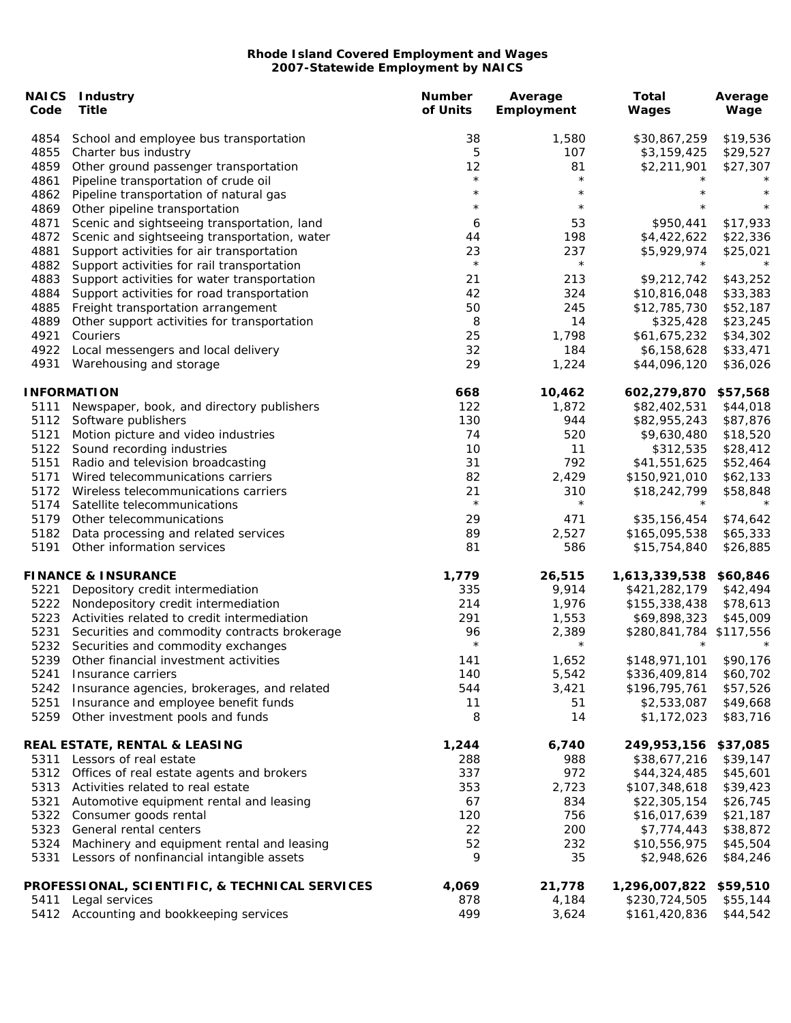| Code         | <b>NAICS Industry</b><br><b>Title</b>                                              | <b>Number</b><br>of Units | Average<br>Employment | <b>Total</b><br>Wages         | Average<br>Wage      |
|--------------|------------------------------------------------------------------------------------|---------------------------|-----------------------|-------------------------------|----------------------|
| 4854         | School and employee bus transportation                                             | 38                        | 1,580                 | \$30,867,259                  | \$19,536             |
| 4855         | Charter bus industry                                                               | 5                         | 107                   | \$3,159,425                   | \$29,527             |
| 4859         | Other ground passenger transportation                                              | 12                        | 81                    | \$2,211,901                   | \$27,307             |
| 4861         | Pipeline transportation of crude oil                                               | $\star$                   | $\star$               |                               | $^\star$             |
| 4862         | Pipeline transportation of natural gas                                             | $\star$                   | $\star$               |                               | $\star$              |
| 4869         | Other pipeline transportation                                                      | $\star$                   | $\star$               |                               | $\star$              |
| 4871         | Scenic and sightseeing transportation, land                                        | 6                         | 53                    | \$950,441                     | \$17,933             |
| 4872         | Scenic and sightseeing transportation, water                                       | 44                        | 198                   | \$4,422,622                   | \$22,336             |
| 4881         | Support activities for air transportation                                          | 23<br>$\star$             | 237<br>$\star$        | \$5,929,974<br>$\star$        | \$25,021<br>$\star$  |
| 4882         | Support activities for rail transportation                                         |                           |                       |                               |                      |
| 4883         | Support activities for water transportation                                        | 21                        | 213                   | \$9,212,742                   | \$43,252             |
| 4884         | Support activities for road transportation                                         | 42                        | 324                   | \$10,816,048                  | \$33,383             |
| 4885<br>4889 | Freight transportation arrangement<br>Other support activities for transportation  | 50<br>8                   | 245<br>14             | \$12,785,730<br>\$325,428     | \$52,187<br>\$23,245 |
| 4921         | Couriers                                                                           | 25                        | 1,798                 | \$61,675,232                  | \$34,302             |
| 4922         | Local messengers and local delivery                                                | 32                        | 184                   | \$6,158,628                   | \$33,471             |
| 4931         | Warehousing and storage                                                            | 29                        | 1,224                 | \$44,096,120                  | \$36,026             |
|              |                                                                                    |                           |                       |                               |                      |
|              | <b>INFORMATION</b>                                                                 | 668                       | 10,462                | 602,279,870                   | \$57,568             |
| 5111         | Newspaper, book, and directory publishers                                          | 122                       | 1,872                 | \$82,402,531                  | \$44,018             |
| 5112         | Software publishers                                                                | 130                       | 944                   | \$82,955,243                  | \$87,876             |
| 5121         | Motion picture and video industries                                                | 74                        | 520                   | \$9,630,480                   | \$18,520             |
| 5122         | Sound recording industries                                                         | 10                        | 11                    | \$312,535                     | \$28,412             |
| 5151         | Radio and television broadcasting                                                  | 31                        | 792                   | \$41,551,625                  | \$52,464             |
| 5171         | Wired telecommunications carriers                                                  | 82                        | 2,429                 | \$150,921,010                 | \$62,133             |
| 5172         | Wireless telecommunications carriers                                               | 21<br>$\star$             | 310<br>$\star$        | \$18,242,799<br>$\star$       | \$58,848<br>$\star$  |
| 5174         | Satellite telecommunications                                                       |                           |                       |                               |                      |
| 5179         | Other telecommunications                                                           | 29<br>89                  | 471                   | \$35,156,454<br>\$165,095,538 | \$74,642             |
| 5182<br>5191 | Data processing and related services<br>Other information services                 | 81                        | 2,527<br>586          | \$15,754,840                  | \$65,333<br>\$26,885 |
|              |                                                                                    |                           |                       |                               |                      |
|              | <b>FINANCE &amp; INSURANCE</b>                                                     | 1,779                     | 26,515                | 1,613,339,538                 | \$60,846             |
| 5221         | Depository credit intermediation                                                   | 335                       | 9,914                 | \$421,282,179                 | \$42,494             |
| 5222         | Nondepository credit intermediation                                                | 214                       | 1,976                 | \$155,338,438                 | \$78,613             |
| 5223         | Activities related to credit intermediation                                        | 291                       | 1,553                 | \$69,898,323                  | \$45,009             |
| 5231<br>5232 | Securities and commodity contracts brokerage<br>Securities and commodity exchanges | 96<br>$\star$             | 2,389<br>$\star$      | \$280,841,784<br>$\star$      | \$117,556<br>$\star$ |
| 5239         | Other financial investment activities                                              | 141                       | 1,652                 | \$148,971,101                 | \$90,176             |
| 5241         | Insurance carriers                                                                 | 140                       | 5,542                 | \$336,409,814                 | \$60,702             |
| 5242         | Insurance agencies, brokerages, and related                                        | 544                       | 3,421                 | \$196,795,761                 | \$57,526             |
| 5251         | Insurance and employee benefit funds                                               | 11                        | 51                    | \$2,533,087                   | \$49,668             |
| 5259         | Other investment pools and funds                                                   | 8                         | 14                    | \$1,172,023                   | \$83,716             |
|              | REAL ESTATE, RENTAL & LEASING                                                      | 1,244                     | 6,740                 | 249,953,156                   | \$37,085             |
| 5311         | Lessors of real estate                                                             | 288                       | 988                   | \$38,677,216                  | \$39,147             |
| 5312         | Offices of real estate agents and brokers                                          | 337                       | 972                   | \$44,324,485                  | \$45,601             |
| 5313         | Activities related to real estate                                                  | 353                       | 2,723                 | \$107,348,618                 | \$39,423             |
| 5321         | Automotive equipment rental and leasing                                            | 67                        | 834                   | \$22,305,154                  | \$26,745             |
| 5322         | Consumer goods rental                                                              | 120                       | 756                   | \$16,017,639                  | \$21,187             |
| 5323         | General rental centers                                                             | 22                        | 200                   | \$7,774,443                   | \$38,872             |
| 5324         | Machinery and equipment rental and leasing                                         | 52                        | 232                   | \$10,556,975                  | \$45,504             |
| 5331         | Lessors of nonfinancial intangible assets                                          | 9                         | 35                    | \$2,948,626                   | \$84,246             |
|              | PROFESSIONAL, SCIENTIFIC, & TECHNICAL SERVICES                                     | 4,069                     | 21,778                | 1,296,007,822                 | \$59,510             |
| 5411         | Legal services                                                                     | 878                       | 4,184                 | \$230,724,505                 | \$55,144             |
|              | 5412 Accounting and bookkeeping services                                           | 499                       | 3,624                 | \$161,420,836                 | \$44,542             |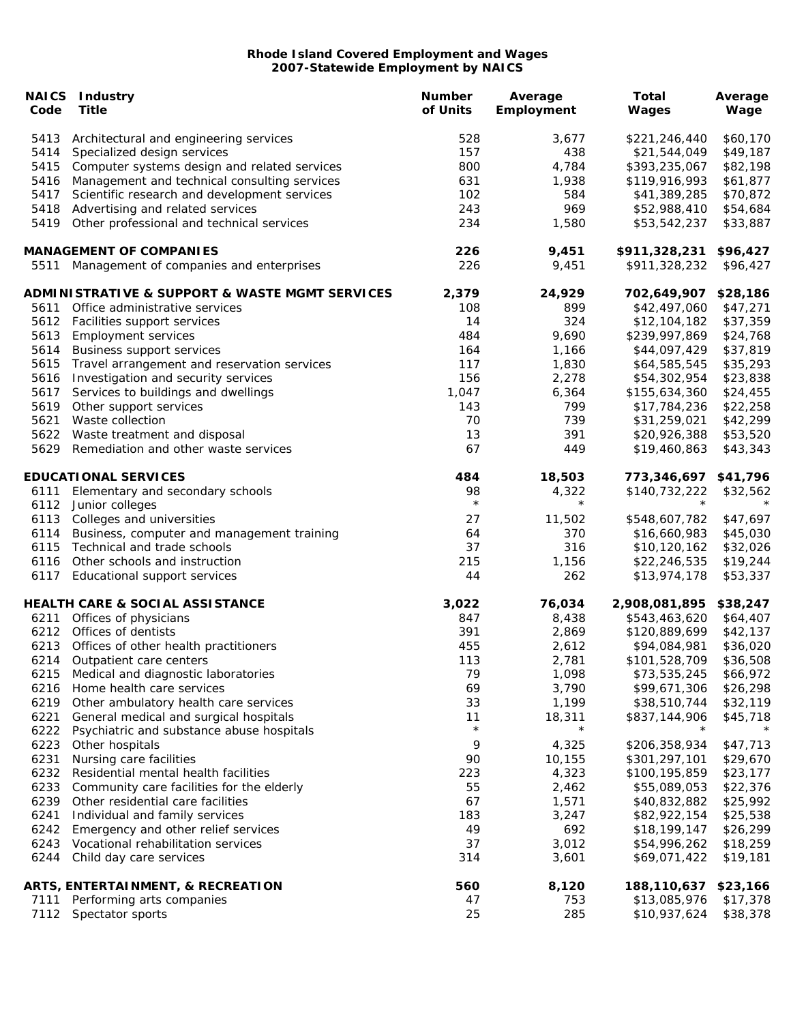|      | <b>NAICS</b> Industry                                         | <b>Number</b> | Average    | <b>Total</b>         | Average  |
|------|---------------------------------------------------------------|---------------|------------|----------------------|----------|
| Code | <b>Title</b>                                                  | of Units      | Employment | Wages                | Wage     |
| 5413 | Architectural and engineering services                        | 528           | 3,677      | \$221,246,440        | \$60,170 |
| 5414 | Specialized design services                                   | 157           | 438        | \$21,544,049         | \$49,187 |
| 5415 | Computer systems design and related services                  | 800           | 4,784      | \$393,235,067        | \$82,198 |
| 5416 | Management and technical consulting services                  | 631           | 1,938      | \$119,916,993        | \$61,877 |
| 5417 | Scientific research and development services                  | 102           | 584        | \$41,389,285         | \$70,872 |
| 5418 | Advertising and related services                              | 243           | 969        | \$52,988,410         | \$54,684 |
| 5419 | Other professional and technical services                     | 234           | 1,580      | \$53,542,237         | \$33,887 |
|      | <b>MANAGEMENT OF COMPANIES</b>                                | 226           | 9,451      | \$911,328,231        | \$96,427 |
|      | 5511 Management of companies and enterprises                  | 226           | 9,451      | \$911,328,232        | \$96,427 |
|      | <b>ADMINISTRATIVE &amp; SUPPORT &amp; WASTE MGMT SERVICES</b> | 2,379         | 24,929     | 702,649,907          | \$28,186 |
| 5611 | Office administrative services                                | 108           | 899        | \$42,497,060         | \$47,271 |
| 5612 | Facilities support services                                   | 14            | 324        | \$12,104,182         | \$37,359 |
| 5613 | <b>Employment services</b>                                    | 484           | 9,690      | \$239,997,869        | \$24,768 |
| 5614 | <b>Business support services</b>                              | 164           | 1,166      | \$44,097,429         | \$37,819 |
| 5615 | Travel arrangement and reservation services                   | 117           | 1,830      | \$64,585,545         | \$35,293 |
| 5616 | Investigation and security services                           | 156           | 2,278      | \$54,302,954         | \$23,838 |
| 5617 | Services to buildings and dwellings                           | 1,047         | 6,364      | \$155,634,360        | \$24,455 |
| 5619 | Other support services                                        | 143           | 799        | \$17,784,236         | \$22,258 |
| 5621 | Waste collection                                              | 70            | 739        | \$31,259,021         | \$42,299 |
| 5622 | Waste treatment and disposal                                  | 13            | 391        | \$20,926,388         | \$53,520 |
| 5629 | Remediation and other waste services                          | 67            | 449        | \$19,460,863         | \$43,343 |
|      | <b>EDUCATIONAL SERVICES</b>                                   | 484           | 18,503     | 773,346,697 \$41,796 |          |
| 6111 | Elementary and secondary schools                              | 98            | 4,322      | \$140,732,222        | \$32,562 |
| 6112 | Junior colleges                                               | $\star$       | $\star$    | $\star$              |          |
| 6113 | Colleges and universities                                     | 27            | 11,502     | \$548,607,782        | \$47,697 |
| 6114 | Business, computer and management training                    | 64            | 370        | \$16,660,983         | \$45,030 |
| 6115 | Technical and trade schools                                   | 37            | 316        | \$10,120,162         | \$32,026 |
| 6116 | Other schools and instruction                                 | 215           | 1,156      | \$22,246,535         | \$19,244 |
| 6117 | Educational support services                                  | 44            | 262        | \$13,974,178         | \$53,337 |
|      | <b>HEALTH CARE &amp; SOCIAL ASSISTANCE</b>                    | 3,022         | 76,034     | 2,908,081,895        | \$38,247 |
| 6211 | Offices of physicians                                         | 847           | 8,438      | \$543,463,620        | \$64,407 |
| 6212 | Offices of dentists                                           | 391           | 2,869      | \$120,889,699        | \$42,137 |
| 6213 | Offices of other health practitioners                         | 455           | 2,612      | \$94,084,981         | \$36,020 |
| 6214 | Outpatient care centers                                       | 113           | 2,781      | \$101,528,709        | \$36,508 |
| 6215 | Medical and diagnostic laboratories                           | 79            | 1,098      | \$73,535,245         | \$66,972 |
| 6216 | Home health care services                                     | 69            | 3,790      | \$99,671,306         | \$26,298 |
| 6219 | Other ambulatory health care services                         | 33            | 1,199      | \$38,510,744         | \$32,119 |
| 6221 | General medical and surgical hospitals                        | 11            | 18,311     | \$837,144,906        | \$45,718 |
| 6222 | Psychiatric and substance abuse hospitals                     | $\star$       | $\star$    |                      |          |
| 6223 | Other hospitals                                               | 9             | 4,325      | \$206,358,934        | \$47,713 |
| 6231 | Nursing care facilities                                       | 90            | 10,155     | \$301,297,101        | \$29,670 |
| 6232 | Residential mental health facilities                          | 223           | 4,323      | \$100,195,859        | \$23,177 |
| 6233 | Community care facilities for the elderly                     | 55            | 2,462      | \$55,089,053         | \$22,376 |
| 6239 | Other residential care facilities                             | 67            | 1,571      | \$40,832,882         | \$25,992 |
| 6241 | Individual and family services                                | 183           | 3,247      | \$82,922,154         | \$25,538 |
| 6242 | Emergency and other relief services                           | 49            | 692        | \$18,199,147         | \$26,299 |
| 6243 | Vocational rehabilitation services                            | 37            | 3,012      | \$54,996,262         | \$18,259 |
| 6244 |                                                               | 314           | 3,601      |                      | \$19,181 |
|      | Child day care services                                       |               |            | \$69,071,422         |          |
|      | ARTS, ENTERTAINMENT, & RECREATION                             | 560           | 8,120      | 188,110,637          | \$23,166 |
| 7111 | Performing arts companies                                     | 47            | 753        | \$13,085,976         | \$17,378 |
| 7112 | Spectator sports                                              | 25            | 285        | \$10,937,624         | \$38,378 |